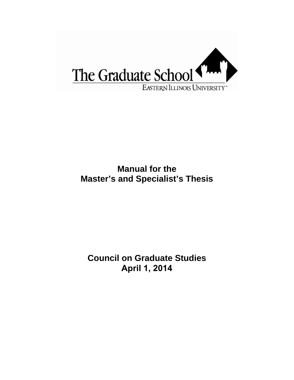

## **Manual for the Master's and Specialist's Thesis**

**Council on Graduate Studies April 1, 2014**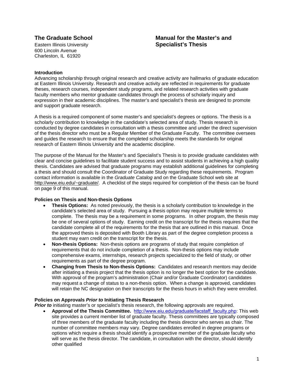Eastern Illinois University **Specialist's Thesis** 600 Lincoln Avenue Charleston, IL 61920

# **The Graduate School Manual for the Master's and**

#### **Introduction**

Advancing scholarship through original research and creative activity are hallmarks of graduate education at Eastern Illinois University. Research and creative activity are reflected in requirements for graduate theses, research courses, independent study programs, and related research activities with graduate faculty members who mentor graduate candidates through the process of scholarly inquiry and expression in their academic disciplines. The master's and specialist's thesis are designed to promote and support graduate research.

A thesis is a required component of some master's and specialist's degrees or options. The thesis is a scholarly contribution to knowledge in the candidate's selected area of study. Thesis research is conducted by degree candidates in consultation with a thesis committee and under the direct supervision of the thesis director who must be a Regular Member of the Graduate Faculty. The committee oversees and guides the research to ensure that the completed scholarship meets the standards for original research of Eastern Illinois University and the academic discipline.

The purpose of the Manual for the Master's and Specialist's Thesis is to provide graduate candidates with clear and concise guidelines to facilitate student success and to assist students in achieving a high quality thesis. Candidates are advised that graduate programs may establish additional guidelines for completing a thesis and should consult the Coordinator of Graduate Study regarding these requirements. Program contact information is available in the *Graduate Catalog* and on the Graduate School web site at http://www.eiu.edu/~graduate/. A checklist of the steps required for completion of the thesis can be found on page 9 of this manual.

#### **Policies on Thesis and Non-thesis Options**

- **Thesis Options:** As noted previously, the thesis is a scholarly contribution to knowledge in the candidate's selected area of study. Pursuing a thesis option may require multiple terms to complete. The thesis may be a requirement in some programs. In other program, the thesis may be one of several options of study. Earning credit on the transcript for the thesis requires that the candidate complete all of the requirements for the thesis that are outlined in this manual. Once the approved thesis is deposited with Booth Library as part of the degree completion process a student may earn credit on the transcript for the thesis.
- **Non-thesis Options:** Non-thesis options are programs of study that require completion of requirements that do not include completion of a thesis.Non-thesis options may include comprehensive exams, internships, research projects specialized to the field of study, or other requirements as part of the degree program.
- **Changing from Thesis to Non-thesis Options:** Candidates and research mentors may decide after initiating a thesis project that the thesis option is no longer the best option for the candidate. With approval of the program's administration (Chair and/or Graduate Coordinator) candidates may request a change of status to a non-thesis option. When a change is approved, candidates will retain the NC designation on their transcripts for the thesis hours in which they were enrolled.

#### **Policies on Approvals** *Prior to* **Initiating Thesis Research**

*Prior to* initiating master's or specialist's thesis research, the following approvals are required.

 **Approval of the Thesis Committee.** [http://www.eiu.edu/graduate/facstaff\\_faculty.php](http://www.eiu.edu/graduate/facstaff_faculty.php): This web site provides a current member list of graduate faculty. Thesis committees are typically composed of three members of the graduate faculty including the thesis director who serves as chair. The number of committee members may vary. Degree candidates enrolled in degree programs or options which require a thesis should identify a prospective member of the graduate faculty who will serve as the thesis director. The candidate, in consultation with the director, should identify other qualified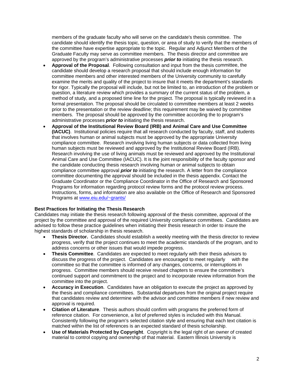members of the graduate faculty who will serve on the candidate's thesis committee. The candidate should identify the thesis topic, question, or area of study to verify that the members of the committee have expertise appropriate to the topic. Regular and Adjunct Members of the Graduate Faculty may serve as committee members. The thesis director and committee are approved by the program's administrative processes *prior to* initiating the thesis research.

- **Approval of the Proposal**. Following consultation and input from the thesis committee, the candidate should develop a research proposal that should include enough information for committee members and other interested members of the University community to carefully examine the merits and quality of the project to insure that it meets the department's standards for rigor. Typically the proposal will include, but not be limited to, an introduction of the problem or question, a literature review which provides a summary of the current status of the problem, a method of study, and a proposed time line for the project. The proposal is typically reviewed in a formal presentation. The proposal should be circulated to committee members at least 2 weeks prior to the presentation or the review deadline; this requirement may be waived by committee members. The proposal should be approved by the committee according the to program's administrative processes *prior to* initiating the thesis research.
- **Approval of the Institutional Review Board (IRB) and Animal Care and Use Committee (IACUC)**. Institutional policies require that all research conducted by faculty, staff, and students that involves human or animal subjects must be approved by the appropriate University compliance committee. Research involving living human subjects or data collected from living human subjects must be reviewed and approved by the Institutional Review Board (IRB). Research involving the use of living animals must be reviewed and approved by the Institutional Animal Care and Use Committee (IACUC). It is the joint responsibility of the faculty sponsor and the candidate conducting thesis research involving human or animal subjects to obtain compliance committee approval *prior to* initiating the research. A letter from the compliance committee documenting the approval should be included in the thesis appendix. Contact the Graduate Coordinator or the Compliance Coordinator in the Office of Research and Sponsored Programs for information regarding protocol review forms and the protocol review process. Instructions, forms, and information are also available on the Office of Research and Sponsored Programs at www.eiu.edu/~grants/

#### **Best Practices for Initiating the Thesis Research**

Candidates may initiate the thesis research following approval of the thesis committee, approval of the project by the committee and approval of the required University compliance committees. Candidates are advised to follow these practice guidelines when initiating their thesis research in order to insure the highest standards of scholarship in thesis research.

- **Thesis Director.** Candidates should establish a weekly meeting with the thesis director to review progress, verify that the project continues to meet the academic standards of the program, and to address concerns or other issues that would impede progress.
- **Thesis Committee**. Candidates are expected to meet regularly with their thesis advisors to discuss the progress of the project. Candidates are encouraged to meet regularly with the committee so that the committee is informed of any changes, concerns, or interruptions in progress. Committee members should receive revised chapters to ensure the committee's continued support and commitment to the project and to incorporate review information from the committee into the project.
- **Accuracy in Execution**. Candidates have an obligation to execute the project as approved by the thesis and compliance committees. Substantial departures from the original project require that candidates review and determine with the advisor and committee members if new review and approval is required.
- **Citation of Literature**. Thesis authors should confirm with programs the preferred form of reference citation. For convenience, a list of preferred styles is included with this Manual. Consistently following the program's selected citation style and ensuring that each text citation is matched within the list of references is an expected standard of thesis scholarship.
- **Use of Materials Protected by Copyright**. Copyright is the legal right of an owner of created material to control copying and ownership of that material. Eastern Illinois University is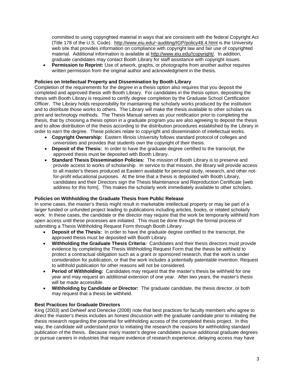committed to using copyrighted material in ways that are consistent with the federal Copyright Act (Title 178 of the U.S. Code). http://www.eiu.edu/~auditing/IGP/policy48.4.html is the University web site that provides information on compliance with copyright law and fair use of copyrighted material. Additional information is available at http://www.eiu.edu/!copyright/. In addition, graduate candidates may contact Booth Library for staff assistance with copyright issues.

 **Permission to Reprint:** Use of artwork, graphs, or photographs from another author requires written permission from the original author and acknowledgment in the thesis.

#### **Policies on Intellectual Property and Dissemination by Booth Library**

Completion of the requirements for the degree in a thesis option also requires that you deposit the completed and approved thesis with Booth Library. For candidates in the thesis option, depositing the thesis with Booth Library is required to certify degree completion by the Graduate School Certification Officer. The Library holds responsibility for maintaining the scholarly works produced by the institution and to distribute those works to others. The Library will make the thesis available to other scholars via print and technology methods. The Thesis Manual serves as your notification prior to completing the thesis, that by choosing a thesis option in a graduate program you are also agreeing to deposit the thesis and to allow distribution of the thesis according to the distribution procedures established by the Library in order to earn the degree. These policies relate to copyright and dissemination of intellectual works.

- **Copyright Ownership:** Eastern Illinois University follows standard protocol of colleges and universities and provides that students own the copyright of their thesis.
- **Deposit of the Thesis:** In order to have the graduate degree certified to the transcript, the approved thesis must be deposited with Booth Library.
- **Standard Thesis Dissemination Policies:** The mission of Booth Library is to preserve and provide access to works of scholarship. In service to that mission, the library will provide access to all master's theses produced at Eastern available for personal study, research, and other notfor-profit educational purposes. At the time that a thesis is deposited with Booth Library, candidates and their Directors sign the Thesis Maintenance and Reproduction Certificate [web address for this form]. This makes the scholarly work immediately available to other scholars.

#### **Policies on Withholding the Graduate Thesis from Public Release**

In some cases, the master's thesis might result in marketable intellectual property or may be part of a larger funded or unfunded project leading to publications including articles, books, or related scholarly work. In these cases, the candidate or the director may require that the work be temporarily withheld from open access until these processes are initiated. This must be done through the formal process of submitting a Thesis Withholding Request Form through Booth Library.

- **Deposit of the Thesis:** In order to have the graduate degree certified to the transcript, the approved thesis must be deposited with Booth Library.
- **Withholding the Graduate Thesis Criteria:** Candidates and their thesis directors must provide evidence by completing the Thesis Withholding Request Form that the thesis be withheld to protect a contractual obligation such as a grant or sponsored research, that the work is under consideration for publication, or that the work includes a potentially patentable invention. Request to withhold publication for other reasons will not be considered.
- **Period of Withholding:** Candidates may request that the master's thesis be withheld for one year and may request an additional extension of one year. After two years, the master's thesis will be made accessible.
- **Withholding by Candidate or Director:** The graduate candidate, the thesis director, or both may request that a thesis be withheld.

#### **Best Practices for Graduate Directors**

King (2003) and DeNeef and Denecke (2008) note that best practices for faculty members who agree to direct the master's thesis includes an honest discussion with the graduate candidate prior to initiating the thesis research regarding the potential for withholding access of the completed thesis project. In this way, the candidate will understand prior to initiating the research the reasons for withholding standard publication of the thesis. Because many master's degree candidates pursue additional graduate degrees or pursue careers in industries that require evidence of research experience, delaying access may have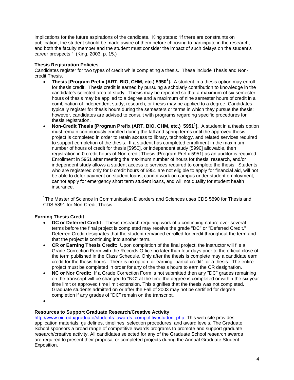implications for the future aspirations of the candidate. King states: "If there are constraints on publication, the student should be made aware of them before choosing to participate in the research, and both the faculty member and the student must consider the impact of such delays on the student's career prospects." (King, 2003, p. 15.)

#### **Thesis Registration Policies**

Candidates register for two types of credit while completing a thesis. These include Thesis and Noncredit Thesis.

- **Thesis [Program Prefix (ART, BIO, CHM, etc.) 5950<sup>1</sup> ].** A student in a thesis option may enroll for thesis credit. Thesis credit is earned by pursuing a scholarly contribution to knowledge in the candidate's selected area of study. Thesis may be repeated so that a maximum of six semester hours of thesis may be applied to a degree and a maximum of nine semester hours of credit in a combination of independent study, research, or thesis may be applied to a degree. Candidates typically register for thesis hours during the semesters or terms in which they pursue the thesis; however, candidates are advised to consult with programs regarding specific procedures for thesis registration.
- **Non-Credit Thesis [Program Prefix (ART, BIO, CHM, etc.) 5951<sup>1</sup> ].** A student in a thesis option must remain continuously enrolled during the fall and spring terms until the approved thesis project is completed in order to retain access to library, technology, and related services required to support completion of the thesis. If a student has completed enrollment in the maximum number of hours of credit for thesis [5950], or independent study [5990] allowable, then registration in 0 credit hours of Non-credit Thesis [Program Prefix 5951] as an auditor is required. Enrollment in 5951 after meeting the maximum number of hours for thesis, research, and/or independent study allows a student access to services required to complete the thesis. Students who are registered only for 0 credit hours of 5951 are not eligible to apply for financial aid, will not be able to defer payment on student loans, cannot work on campus under student employment, cannot apply for emergency short term student loans, and will not qualify for student health insurance.

**1** The Master of Science in Communication Disorders and Sciences uses CDS 5890 for Thesis and CDS 5891 for Non-Credit Thesis.

#### **Earning Thesis Credit**

- **DC or Deferred Credit:** Thesis research requiring work of a continuing nature over several terms before the final project is completed may receive the grade "DC" or "Deferred Credit." Deferred Credit designates that the student remained enrolled for credit throughout the term and that the project is continuing into another term.
- **CR or Earning Thesis Credit:** Upon completion of the final project, the instructor will file a Grade Correction Form with the Records Office no later than four days prior to the official close of the term published in the Class Schedule. Only after the thesis is complete may a candidate earn credit for the thesis hours. There is no option for earning "partial credit" for a thesis. The entire project must be completed in order for any of the thesis hours to earn the CR designation.
- **NC or Nor Credit:** If a Grade Correction Form is not submitted then any "DC" grades remaining on the transcript will be changed to "NC" at the time the degree is completed or within the six year time limit or approved time limit extension. This signifies that the thesis was not completed. Graduate students admitted on or after the Fall of 2003 may not be certified for degree completion if any grades of "DC" remain on the transcript.

 $\bullet$ 

#### **Resources to Support Graduate Research/Creative Activity**

[http://www.eiu.edu/graduate/students\\_awards\\_competitivestudent.php](http://www.eiu.edu/graduate/students_awards_competitivestudent.php): This web site provides application materials, guidelines, timelines, selection procedures, and award levels. The Graduate School sponsors a broad range of competitive awards programs to promote and support graduate research/creative activity. All candidates selected for any of the Graduate School research awards are required to present their proposal or completed projects during the Annual Graduate Student Exposition.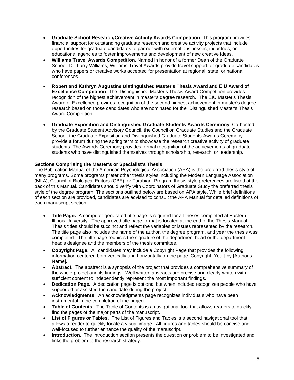- **Graduate School Research/Creative Activity Awards Competition**. This program provides financial support for outstanding graduate research and creative activity projects that include opportunities for graduate candidates to partner with external businesses, industries, or educational agencies to foster improvements and development of new creative ideas.
- **Williams Travel Awards Competition**. Named in honor of a former Dean of the Graduate School, Dr. Larry Williams, Williams Travel Awards provide travel support for graduate candidates who have papers or creative works accepted for presentation at regional, state, or national conferences.
- **Robert and Kathryn Augustine Distinguished Master's Thesis Award and EIU Award of Excellence Competition**. The Distinguished Master's Thesis Award Competition provides recognition of the highest achievement in master's degree research. The EIU Master's Thesis Award of Excellence provides recognition of the second highest achievement in master's degree research based on those candidates who are nominated for the Distinguished Master's Thesis Award Competition.
- **Graduate Exposition and Distinguished Graduate Students Awards Ceremony**: Co-hosted by the Graduate Student Advisory Council, the Council on Graduate Studies and the Graduate School, the Graduate Exposition and Distinguished Graduate Students Awards Ceremony provide a forum during the spring term to showcase the research creative activity of graduate students. The Awards Ceremony provides formal recognition of the achievements of graduate students who have distinguished themselves through scholarship, research, or leadership.

### **Sections Comprising the Master's or Specialist's Thesis**

The Publication Manual of the American Psychological Association (APA) is the preferred thesis style of many programs. Some programs prefer other thesis styles including the Modern Language Association (MLA), Council of Biological Editors (CBE), or Turabian. Program thesis style preferences are listed at the back of this Manual. Candidates should verify with Coordinators of Graduate Study the preferred thesis style of the degree program. The sections outlined below are based on APA style. While brief definitions of each section are provided, candidates are advised to consult the APA Manual for detailed definitions of each manuscript section.

- **Title Page.** A computer-generated title page is required for all theses completed at Eastern Illinois University. The approved title page format is located at the end of the Thesis Manual. Thesis titles should be succinct and reflect the variables or issues represented by the research. The title page also includes the name of the author, the degree program, and year the thesis was completed. The title page requires the signature of the department head or the department head's designee and the members of the thesis committee.
- **Copyright Page.** All candidates may include a Copyright Page that provides the following information centered both vertically and horizontally on the page: Copyright [Year] by [Author's Name].
- **Abstract.** The abstract is a synopsis of the project that provides a comprehensive summary of the whole project and its findings. Well written abstracts are precise and clearly written with sufficient content to independently represent the most important findings.
- **Dedication Page.** A dedication page is optional but when included recognizes people who have supported or assisted the candidate during the project.
- **Acknowledgments.** An acknowledgments page recognizes individuals who have been instrumental in the completion of the project.
- **Table of Contents.** The Table of Contents is a navigational tool that allows readers to quickly find the pages of the major parts of the manuscript.
- **List of Figures or Tables.** The List of Figures and Tables is a second navigational tool that allows a reader to quickly locate a visual image. All figures and tables should be concise and well-focused to further enhance the quality of the manuscript.
- **Introduction.** The introduction section presents the question or problem to be investigated and links the problem to the research strategy.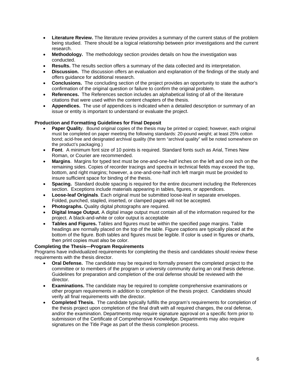- **Literature Review.** The literature review provides a summary of the current status of the problem being studied. There should be a logical relationship between prior investigations and the current research.
- **Methodology.** The methodology section provides details on how the investigation was conducted.
- **Results.** The results section offers a summary of the data collected and its interpretation.
- **Discussion.** The discussion offers an evaluation and explanation of the findings of the study and offers guidance for additional research.
- **Conclusions.** The concluding section of the project provides an opportunity to state the author's confirmation of the original question or failure to confirm the original problem.
- **References.** The References section includes an alphabetical listing of all of the literature citations that were used within the content chapters of the thesis.
- **Appendices.** The use of appendices is indicated when a detailed description or summary of an issue or entity is important to understand or evaluate the project.

#### **Production and Formatting Guidelines for Final Deposit**

- **Paper Qualit**y. Bound original copies of the thesis may be printed or copied; however, each original must be completed on paper meeting the following standards: 20-pound weight; at least 25% cotton bond; acid-free and designated archival quality (the term "archival quality" will be noted somewhere on the product's packaging.)
- **Font**. A minimum font size of 10 points is required. Standard fonts such as Arial, Times New Roman, or Courier are recommended.
- **Margins**. Margins for typed text must be one-and-one-half inches on the left and one inch on the remaining sides. Copies of recorder tracings and spectra in technical fields may exceed the top, bottom, and right margins; however, a one-and-one-half inch left margin must be provided to insure sufficient space for binding of the thesis.
- **Spacing.** Standard double spacing is required for the entire document including the References section. Exceptions include materials appearing in tables, figures, or appendices.
- **Loose-leaf Originals**. Each original must be submitted loose-leaf in separate envelopes. Folded, punched, stapled, inserted, or clamped pages will not be accepted.
- **Photographs.** Quality digital photographs are required.
- **Digital Image Output.** A digital image output must contain all of the information required for the project. A black-and-white or color output is acceptable
- **Tables and Figures.** Tables and figures must be within the specified page margins. Table headings are normally placed on the top of the table. Figure captions are typically placed at the bottom of the figure. Both tables and figures must be legible. If color is used in figures or charts, then print copies must also be color.

#### **Completing the Thesis—Program Requirements**

Programs have individualized requirements for completing the thesis and candidates should review these requirements with the thesis director.

- **Oral Defense.** The candidate may be required to formally present the completed project to the committee or to members of the program or university community during an oral thesis defense. Guidelines for preparation and completion of the oral defense should be reviewed with the director.
- **Examinations.** The candidate may be required to complete comprehensive examinations or other program requirements in addition to completion of the thesis project. Candidates should verify all final requirements with the director.
- **Completed Thesis.** The candidate typically fulfills the program's requirements for completion of the thesis project upon completion of the final draft with all required changes, the oral defense, and/or the examination. Departments may require signature approval on a specific form prior to submission of the Certificate of Comprehensive Knowledge. Departments may also require signatures on the Title Page as part of the thesis completion process.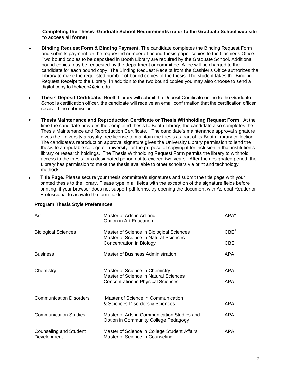#### **Completing the Thesis--Graduate School Requirements (refer to the Graduate School web site to access all forms)**

- **Binding Request Form & Binding Payment.** The candidate completes the Binding Request Form and submits payment for the requested number of bound thesis paper copies to the Cashier's Office. Two bound copies to be deposited in Booth Library are required by the Graduate School. Additional bound copies may be requested by the department or committee. A fee will be charged to the candidate for each bound copy. The Binding Request Receipt from the Cashier's Office authorizes the Library to make the requested number of bound copies of the thesis. The student takes the Binding Request Receipt to the Library. In addition to the two bound copies you may also choose to send a digital copy to thekeep@eiu.edu.
- **Thesis Deposit Certificate.** Booth Library will submit the Deposit Certificate online to the Graduate School's certification officer, the candidate will receive an email confirmation that the certification officer received the submission.
- **Thesis Maintenance and Reproduction Certificate or Thesis Withholding Request Form.** At the time the candidate provides the completed thesis to Booth Library, the candidate also completes the Thesis Maintenance and Reproduction Certificate. The candidate's maintenance approval signature gives the University a royalty-free license to maintain the thesis as part of its Booth Library collection. The candidate's reproduction approval signature gives the University Library permission to lend the thesis to a reputable college or university for the purpose of copying it for inclusion in that institution's library or research holdings. The Thesis Withholding Request Form permits the library to withhold access to the thesis for a designated period not to exceed two years. After the designated period, the Library has permission to make the thesis available to other scholars via print and technology methods.
- **Title Page.** Please secure your thesis committee's signatures and submit the title page with your printed thesis to the library. Please type in all fields with the exception of the signature fields before printing, if your browser does not support pdf forms, try opening the document with Acrobat Reader or Professional to activate the form fields. •

#### **Program Thesis Style Preferences**

| Art                                   | Master of Arts in Art and<br>Option in Art Education                                                          | APA <sup>1</sup> |
|---------------------------------------|---------------------------------------------------------------------------------------------------------------|------------------|
| <b>Biological Sciences</b>            | Master of Science in Biological Sciences<br>Master of Science in Natural Sciences<br>Concentration in Biology | CBE <sup>2</sup> |
|                                       |                                                                                                               | CBE              |
| <b>Business</b>                       | Master of Business Administration                                                                             | APA              |
| Chemistry                             | Master of Science in Chemistry<br>Master of Science in Natural Sciences                                       | APA              |
|                                       | Concentration in Physical Sciences                                                                            | <b>APA</b>       |
| <b>Communication Disorders</b>        | Master of Science in Communication                                                                            |                  |
|                                       | & Sciences Disorders & Sciences                                                                               | <b>APA</b>       |
| <b>Communication Studies</b>          | Master of Arts in Communication Studies and<br>Option in Community College Pedagogy                           | APA              |
| Counseling and Student<br>Development | Master of Science in College Student Affairs<br>Master of Science in Counseling                               | APA              |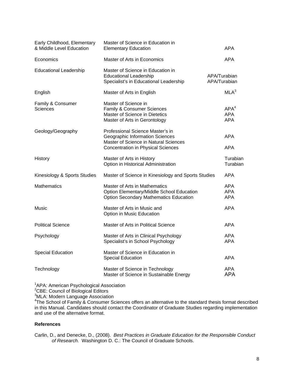| Early Childhood, Elementary<br>& Middle Level Education | Master of Science in Education in<br><b>Elementary Education</b>                                                                                                 | <b>APA</b>                                   |
|---------------------------------------------------------|------------------------------------------------------------------------------------------------------------------------------------------------------------------|----------------------------------------------|
| Economics                                               | Master of Arts in Economics                                                                                                                                      | <b>APA</b>                                   |
| <b>Educational Leadership</b>                           | Master of Science in Education in<br><b>Educational Leadership</b><br>Specialist's in Educational Leadership                                                     | APA/Turabian<br>APA/Turabian                 |
| English                                                 | Master of Arts in English                                                                                                                                        | MLA <sup>3</sup>                             |
| Family & Consumer<br>Sciences                           | Master of Science in<br>Family & Consumer Sciences<br>Master of Science in Dietetics<br>Master of Arts in Gerontology                                            | APA <sup>4</sup><br><b>APA</b><br><b>APA</b> |
| Geology/Geography                                       | Professional Science Master's in<br><b>Geographic Information Sciences</b><br>Master of Science in Natural Sciences<br><b>Concentration in Physical Sciences</b> | <b>APA</b><br><b>APA</b>                     |
| History                                                 | Master of Arts in History<br>Option in Historical Administration                                                                                                 | Turabian<br>Turabian                         |
| Kinesiology & Sports Studies                            | Master of Science in Kinesiology and Sports Studies                                                                                                              | <b>APA</b>                                   |
| <b>Mathematics</b>                                      | Master of Arts in Mathematics<br>Option Elementary/Middle School Education<br><b>Option Secondary Mathematics Education</b>                                      | <b>APA</b><br><b>APA</b><br><b>APA</b>       |
| Music                                                   | Master of Arts in Music and<br>Option in Music Education                                                                                                         | <b>APA</b>                                   |
| <b>Political Science</b>                                | Master of Arts in Political Science                                                                                                                              | APA                                          |
| Psychology                                              | Master of Arts in Clinical Psychology<br>Specialist's in School Psychology                                                                                       | <b>APA</b><br><b>APA</b>                     |
| <b>Special Education</b>                                | Master of Science in Education in<br><b>Special Education</b>                                                                                                    | <b>APA</b>                                   |
| Technology                                              | Master of Science in Technology<br>Master of Science in Sustainable Energy                                                                                       | <b>APA</b><br><b>APA</b>                     |

<sup>1</sup>APA: American Psychological Association<br><sup>2</sup>CBE: Council of Biological Editors<br><sup>3</sup>MLA: Modern Language Association<br><sup>4</sup>The School of Family & Consumer Sciences offers an alternative to the standard thesis format described in this Manual. Candidates should contact the Coordinator of Graduate Studies regarding implementation and use of the alternative format.

#### **References**

Carlin, D., and Denecke, D., (2008). *Best Practices in Graduate Education for the Responsible Conduct of Research.* Washington D. C.: The Council of Graduate Schools.